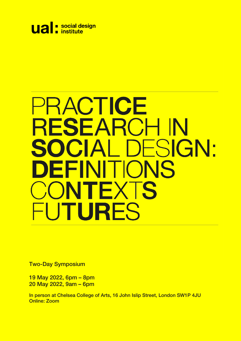

# PRACTICE RESEARCH IN SOCIAL DESIGN: DEFINIT **IONS** NTEXIS  $\left| \cdot \right|$ UTURES

Two-Day Symposium

19 May 2022, 6pm – 8pm 20 May 2022, 9am – 6pm

In person at Chelsea College of Arts, 16 John Islip Street, London SW1P 4JU Online: Zoom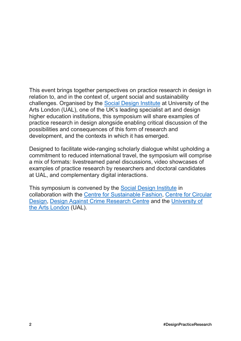This event brings together perspectives on practice research in design in relation to, and in the context of, urgent social and sustainability challenges. Organised by the [Social Design Institute](https://www.arts.ac.uk/ual-social-design-institute) at University of the Arts London (UAL), one of the UK's leading specialist art and design higher education institutions, this symposium will share examples of practice research in design alongside enabling critical discussion of the possibilities and consequences of this form of research and development, and the contexts in which it has emerged.

Designed to facilitate wide-ranging scholarly dialogue whilst upholding a commitment to reduced international travel, the symposium will comprise a mix of formats: livestreamed panel discussions, video showcases of examples of practice research by researchers and doctoral candidates at UAL, and complementary digital interactions.

This symposium is convened by the [Social Design Institute](https://www.arts.ac.uk/ual-social-design-institute) in collaboration with the [Centre for Sustainable Fashion,](https://www.sustainable-fashion.com/) [Centre for Circular](https://www.circulardesign.org.uk/)  [Design,](https://www.circulardesign.org.uk/) [Design Against Crime Research Centre](https://designagainstcrime.com/) and the [University of](https://www.arts.ac.uk/)  [the Arts London](https://www.arts.ac.uk/) (UAL).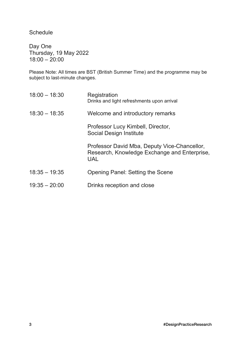**Schedule** 

Day One Thursday, 19 May 2022 18:00 – 20:00

Please Note: All times are BST (British Summer Time) and the programme may be subject to last-minute changes.

| $18:00 - 18:30$ | Registration<br>Drinks and light refreshments upon arrival                                                 |
|-----------------|------------------------------------------------------------------------------------------------------------|
| $18:30 - 18:35$ | Welcome and introductory remarks                                                                           |
|                 | Professor Lucy Kimbell, Director,<br>Social Design Institute                                               |
|                 | Professor David Mba, Deputy Vice-Chancellor,<br>Research, Knowledge Exchange and Enterprise,<br><b>UAL</b> |
| $18:35 - 19:35$ | Opening Panel: Setting the Scene                                                                           |
| $19:35 - 20:00$ | Drinks reception and close                                                                                 |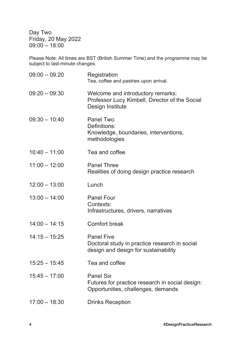Day Two Friday, 20 May 2022  $09:00 - 18:00$ 

Please Note: All times are BST (British Summer Time) and the programme may be subject to last-minute changes.

| $09:00 - 09:20$ | Registration<br>Tea, coffee and pastries upon arrival.                                                     |
|-----------------|------------------------------------------------------------------------------------------------------------|
| $09:20 - 09:30$ | Welcome and introductory remarks:<br>Professor Lucy Kimbell, Director of the Social<br>Design Institute    |
| $09:30 - 10:40$ | <b>Panel Two</b><br>Definitions:<br>Knowledge, boundaries, interventions,<br>methodologies                 |
| $10:40 - 11:00$ | Tea and coffee                                                                                             |
| $11:00 - 12:00$ | <b>Panel Three</b><br>Realities of doing design practice research                                          |
| $12:00 - 13:00$ | Lunch                                                                                                      |
| $13:00 - 14:00$ | <b>Panel Four</b><br>Contexts:<br>Infrastructures, drivers, narratives                                     |
| $14:00 - 14:15$ | <b>Comfort break</b>                                                                                       |
| $14:15 - 15:25$ | <b>Panel Five</b><br>Doctoral study in practice research in social<br>design and design for sustainability |
| $15:25 - 15:45$ | Tea and coffee                                                                                             |
| $15:45 - 17:00$ | <b>Panel Six</b><br>Futures for practice research in social design:<br>Opportunities, challenges, demands  |
| $17:00 - 18:30$ | <b>Drinks Reception</b>                                                                                    |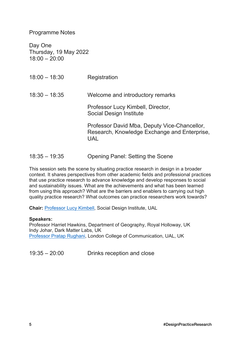Programme Notes

Day One Thursday, 19 May 2022 18:00 – 20:00

| $18:00 - 18:30$ | Registration                                                                                        |
|-----------------|-----------------------------------------------------------------------------------------------------|
| $18:30 - 18:35$ | Welcome and introductory remarks                                                                    |
|                 | Professor Lucy Kimbell, Director,<br>Social Design Institute                                        |
|                 | Professor David Mba, Deputy Vice-Chancellor,<br>Research, Knowledge Exchange and Enterprise,<br>UAL |

18:35 – 19:35 Opening Panel: Setting the Scene

This session sets the scene by situating practice research in design in a broader context. It shares perspectives from other academic fields and professional practices that use practice research to advance knowledge and develop responses to social and sustainability issues. What are the achievements and what has been learned from using this approach? What are the barriers and enablers to carrying out high quality practice research? What outcomes can practice researchers work towards?

**Chair:** [Professor Lucy Kimbell,](https://www.arts.ac.uk/research/ual-staff-researchers/lucy-kimbell) Social Design Institute, UAL

#### **Speakers:**

Professor Harriet Hawkins, Department of Geography, Royal Holloway, UK Indy Johar, Dark Matter Labs, UK [Professor Pratap Rughani,](https://www.arts.ac.uk/colleges/london-college-of-communication/people/pratap-rughani) London College of Communication, UAL, UK

19:35 – 20:00 Drinks reception and close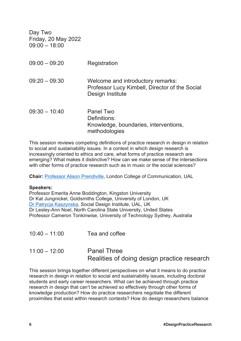| Day Two<br>Friday, 20 May 2022<br>$09:00 - 18:00$ |                                                                                                         |
|---------------------------------------------------|---------------------------------------------------------------------------------------------------------|
| $09:00 - 09:20$                                   | Registration                                                                                            |
| $09:20 - 09:30$                                   | Welcome and introductory remarks:<br>Professor Lucy Kimbell, Director of the Social<br>Design Institute |
| $09:30 - 10:40$                                   | Panel Two<br>Definitions:<br>Knowledge, boundaries, interventions,<br>methodologies                     |

This session reviews competing definitions of practice research in design in relation to social and sustainability issues. In a context in which design research is increasingly oriented to ethics and care, what forms of practice research are emerging? What makes it distinctive? How can we make sense of the intersections with other forms of practice research such as in music or the social sciences?

**Chair:** [Professor Alison Prendiville,](https://www.arts.ac.uk/research/ual-staff-researchers/alison-prendiville) London College of Communication, UAL

#### **Speakers:**

Professor Emerita Anne Boddington, Kingston University Dr Kat Jungnickel, Goldsmiths College, University of London, UK [Dr Patrycja Kaszynska,](https://www.arts.ac.uk/research/ual-staff-researchers/patrycja-kaszynska) Social Design Institute, UAL, UK Dr Lesley-Ann Noel, North Carolina State University, United States Professor Cameron Tonkinwise, University of Technology Sydney, Australia

- 10:40 11:00 Tea and coffee
- 11:00 12:00 Panel Three Realities of doing design practice research

This session brings together different perspectives on what it means to do practice research in design in relation to social and sustainability issues, including doctoral students and early career researchers. What can be achieved through practice research in design that can't be achieved so effectively through other forms of knowledge production? How do practice researchers negotiate the different proximities that exist within research contexts? How do design researchers balance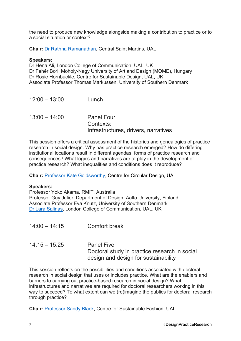the need to produce new knowledge alongside making a contribution to practice or to a social situation or context?

**Chair:** [Dr Rathna Ramanathan,](https://www.arts.ac.uk/research/ual-staff-researchers/rathna-ramanathan) Central Saint Martins, UAL

#### **Speakers:**

Dr Hena Ali, London College of Communication, UAL, UK Dr Fehér Bori, Moholy-Nagy University of Art and Design (MOME), Hungary Dr Rosie Hornbuckle, Centre for Sustainable Design, UAL, UK Associate Professor Thomas Markussen, University of Southern Denmark

| $12:00 - 13:00$ | Lunch                                                                  |
|-----------------|------------------------------------------------------------------------|
| $13:00 - 14:00$ | <b>Panel Four</b><br>Contexts:<br>Infrastructures, drivers, narratives |

This session offers a critical assessment of the histories and genealogies of practice research in social design. Why has practice research emerged? How do differing institutional locations result in different agendas, forms of practice research and consequences? What logics and narratives are at play in the development of practice research? What inequalities and conditions does it reproduce?

**Chair:** [Professor Kate Goldsworthy,](https://www.arts.ac.uk/research/ual-staff-researchers/kate-goldsworthy) Centre for Circular Design, UAL

#### **Speakers:**

Professor Yoko Akama, RMIT, Australia Professor Guy Julier, Department of Design, Aalto University, Finland Associate Professor Eva Knutz, University of Southern Denmark [Dr Lara Salinas,](https://www.arts.ac.uk/research/ual-staff-researchers/lara-salinas) London College of Communication, UAL, UK

- 14:00 14:15 Comfort break
- 14:15 15:25 Panel Five Doctoral study in practice research in social design and design for sustainability

This session reflects on the possibilities and conditions associated with doctoral research in social design that uses or includes practice. What are the enablers and barriers to carrying out practice-based research in social design? What infrastructures and narratives are required for doctoral researchers working in this way to succeed? To what extent can we (re)imagine the publics for doctoral research through practice?

**Chair:** [Professor Sandy Black,](https://www.arts.ac.uk/research/ual-staff-researchers/sandy-black) Centre for Sustainable Fashion, UAL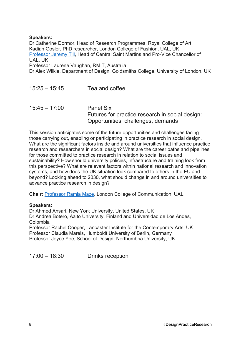### **Speakers:**

Dr Catherine Dormor, Head of Research Programmes, Royal College of Art Kadian Gosler, PhD researcher, London College of Fashion, UAL, UK [Professor Jeremy Till,](https://www.arts.ac.uk/colleges/central-saint-martins/people/jeremy-till-head-of-college) Head of Central Saint Martins and Pro-Vice Chancellor of UAL, UK

Professor Laurene Vaughan, RMIT, Australia

Dr Alex Wilkie, Department of Design, Goldsmiths College, University of London, UK

| $15:25 - 15:45$ | Tea and coffee                                                                                            |
|-----------------|-----------------------------------------------------------------------------------------------------------|
| $15:45 - 17:00$ | <b>Panel Six</b><br>Futures for practice research in social design:<br>Opportunities, challenges, demands |

This session anticipates some of the future opportunities and challenges facing those carrying out, enabling or participating in practice research in social design. What are the significant factors inside and around universities that influence practice research and researchers in social design? What are the career paths and pipelines for those committed to practice research in relation to social issues and sustainability? How should university policies, infrastructure and training look from this perspective? What are relevant factors within national research and innovation systems, and how does the UK situation look compared to others in the EU and beyond? Looking ahead to 2030, what should change in and around universities to advance practice research in design?

**Chair:** [Professor Ramia Maze,](https://www.arts.ac.uk/research/ual-staff-researchers/ramia-maze) London College of Communication, UAL

#### **Speakers:**

Dr Ahmed Ansari, New York University, United States, UK Dr Andrea Botero, Aalto University, Finland and Universidad de Los Andes, Colombia Professor Rachel Cooper, Lancaster Institute for the Contemporary Arts, UK Professor Claudia Mareis, Humboldt University of Berlin, Germany Professor Joyce Yee, School of Design, Northumbria University, UK

17:00 – 18:30 Drinks reception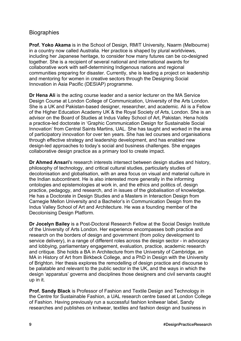## **Biographies**

**Prof. Yoko Akama** is in the School of Design, RMIT University, Naarm (Melbourne) in a country now called Australia. Her practice is shaped by plural worldviews, including her Japanese heritage, to consider how many futures can be co-designed together. She is a recipient of several national and international awards for collaborative work with self-determining Indigenous nations and regional communities preparing for disaster. Currently, she is leading a project on leadership and mentoring for women in creative sectors through the Designing Social Innovation in Asia Pacific (DESIAP) programme.

**Dr Hena Ali** is the acting course leader and a senior lecturer on the MA Service Design Course at London College of Communication, University of the Arts London. She is a UK and Pakistan-based designer, researcher, and academic. Ali is a Fellow of the Higher Education Academy UK & the Royal Society of Arts, London. She is an advisor on the Board of Studies at Indus Valley School of Art, Pakistan. Hena holds a practice-led doctorate in 'Graphic Communication Design for Sustainable Social Innovation' from Central Saints Martins, UAL. She has taught and worked in the area of participatory innovation for over ten years. She has led courses and organisations through effective strategy and leadership development, and has enabled new design-led approaches to today's social and business challenges. She engages collaborative design practice as a primary tool to create impact.

**Dr Ahmed Ansari**'s research interests intersect between design studies and history, philosophy of technology, and critical cultural studies, particularly studies of decolonisation and globalisation, with an area focus on visual and material culture in the Indian subcontinent. He is also interested more generally in the informing ontologies and epistemologies at work in, and the ethics and politics of, design practice, pedagogy, and research, and in issues of the globalisation of knowledge. He has a Doctorate in Design Studies and a Masters in Interaction Design from Carnegie Mellon University and a Bachelor's in Communication Design from the Indus Valley School of Art and Architecture. He was a founding member of the Decolonising Design Platform.

**Dr Jocelyn Bailey** is a Post-Doctoral Research Fellow at the Social Design Institute of the University of Arts London. Her experience encompasses both practice and research on the borders of design and government (from policy development to service delivery), in a range of different roles across the design sector - in advocacy and lobbying, parliamentary engagement, evaluation, practice, academic research and critique. She holds a BA in Architecture from the University of Cambridge, an MA in History of Art from Birkbeck College, and a PhD in Design with the University of Brighton. Her thesis explores the remodelling of design practice and discourse to be palatable and relevant to the public sector in the UK, and the ways in which the design 'apparatus' governs and disciplines those designers and civil servants caught up in it.

**Prof. Sandy Black** is Professor of Fashion and Textile Design and Technology in the Centre for Sustainable Fashion, a UAL research centre based at London College of Fashion. Having previously run a successful fashion knitwear label, Sandy researches and publishes on knitwear, textiles and fashion design and business in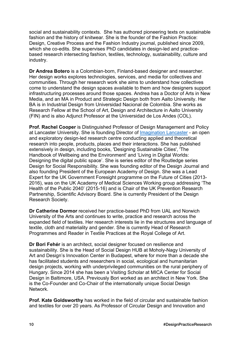social and sustainability contexts. She has authored pioneering texts on sustainable fashion and the history of knitwear. She is the founder of the Fashion Practice: Design, Creative Process and the Fashion Industry journal, published since 2009, which she co-edits. She supervises PhD candidates in design-led and practicebased research intersecting fashion, textiles, technology, sustainability, culture and industry.

**Dr Andrea Botero** is a Colombian-born, Finland-based designer and researcher. Her design works explores technologies, services, and media for collectives and communities. Through her research work she aims to understand how collectives come to understand the design spaces available to them and how designers support infrastructuring processes around those spaces. Andrea has a Doctor of Arts in New Media, and an MA in Product and Strategic Design both from Aalto University. Her BA is in Industrial Design from Universidad Nacional de Colombia. She works as Research Fellow at the School of Art, Design and Architecture in Aalto University (FIN) and is also Adjunct Professor at the Universidad de Los Andes (COL).

**Prof. Rachel Cooper** is Distinguished Professor of Design Management and Policy at Lancaster University. She is founding Director of [Imagination Lancaster](http://imagination.lancaster.ac.uk/) - an open and exploratory design-led research centre conducting applied and theoretical research into people, products, places and their interactions. She has published extensively in design, including books, 'Designing Sustainable Cities', 'The Handbook of Wellbeing and the Environment' and 'Living in Digital Worlds: Designing the digital public space'. She is series editor of the Routledge series Design for Social Responsibility. She was founding editor of the Design Journal and also founding President of the European Academy of Design. She was a Lead Expert for the UK Government Foresight programme on the Future of Cities (2013- 2016), was on the UK Academy of Medical Sciences Working group addressing 'The Health of the Public 2040' (2015-16) and is Chair of the UK Prevention Research Partnership, Scientific Advisory Board. She is currently President of the Design Research Society.

**Dr Catherine Dormor** received her practice-based PhD from UAL and Norwich University of the Arts and continues to write, practice and research across the expanded field of textiles. Her research interests lie in the structures and language of textile, cloth and materiality and gender. She is currently Head of Research Programmes and Reader in Textile Practices at the Royal College of Art.

**Dr Bori Fehér** is an architect, social designer focused on resilience and sustainability. She is the Head of Social Design HUB at Moholy-Nagy University of Art and Design's Innovation Center in Budapest, where for more than a decade she has facilitated students and researchers in social, ecological and humanitarian design projects, working with underprivileged communities on the rural periphery of Hungary. Since 2014 she has been a Visiting Scholar at MICA Center for Social Design in Baltimore, USA. Previously Bori worked as an architect in New York. She is the Co-Founder and Co-Chair of the internationally unique Social Design Network.

**Prof. Kate Goldsworthy** has worked in the field of circular and sustainable fashion and textiles for over 20 years. As Professor of Circular Design and Innovation and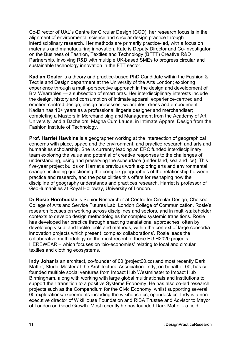Co-Director of UAL's Centre for Circular Design (CCD), her research focus is in the alignment of environmental science and circular design practice through interdisciplinary research. Her methods are primarily practice-led, with a focus on materials and manufacturing innovation. Kate is Deputy Director and Co-Investigator on the Business of Fashion, Textiles and Technology (BFTT) Creative R&D Partnership, involving R&D with multiple UK-based SMEs to progress circular and sustainable technology innovation in the FTT sector.

**Kadian Gosler** is a theory and practice-based PhD Candidate within the Fashion & Textile and Design department at the University of the Arts London; exploring experience through a multi-perspective approach in the design and development of Bra Wearables — a subsection of smart bras. Her interdisciplinary interests include the design, history and consumption of intimate apparel, experience-centred and emotion-centred design, design processes, wearables, dress and embodiment. Kadian has 10+ years as a professional lingerie designer and merchandiser; completing a Masters in Merchandising and Management from the Academy of Art University; and a Bachelors, Magna Cum Laude, in Intimate Apparel Design from the Fashion Institute of Technology.

**Prof. Harriet Hawkins** is a geographer working at the intersection of geographical concerns with place, space and the environment, and practice research and arts and humanities scholarship. She is currently leading an ERC funded interdisciplinary team exploring the value and potential of creative responses to the challenges of understanding, using and preserving the subsurface (under land, sea and ice). This five-year project builds on Harriet's previous work exploring arts and environmental change, including questioning the complex geographies of the relationship between practice and research, and the possibilities this offers for reshaping how the discipline of geography understands and practices research. Harriet is professor of GeoHumanities at Royal Holloway, University of London.

**Dr Rosie Hornbuckle** is Senior Researcher at Centre for Circular Design, Chelsea College of Arts and Service Futures Lab, London College of Communication. Rosie's research focuses on working across disciplines and sectors, and in multi-stakeholder contexts to develop design methodologies for complex systemic transitions. Rosie has developed her practice through enacting translational approaches, often by developing visual and tactile tools and methods, within the context of large consortia innovation projects which present 'complex collaborations'. Rosie leads the collaborative methodology on the most recent of these EU H2020 projects – HEREWEAR – which focuses on 'bio-economies' relating to local and circular textiles and clothing ecosystems.

**Indy Johar** is an architect, co-founder of 00 (project00.cc) and most recently Dark Matter, Studio Master at the Architectural Association. Indy, on behalf of 00, has cofounded multiple social ventures from Impact Hub Westminster to Impact Hub Birmingham, along with working with large global multinationals and institutions to support their transition to a positive Systems Economy. He has also co-led research projects such as the Compendium for the Civic Economy, whilst supporting several 00 explorations/experiments including the wikihouse.cc, opendesk.cc. Indy is a nonexecutive director of WikiHouse Foundation and RIBA Trustee and Advisor to Mayor of London on Good Growth. Most recently he has founded Dark Matter - a field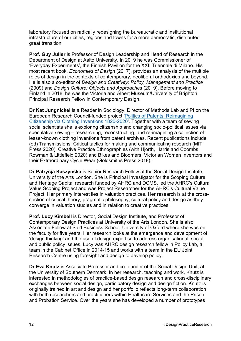laboratory focused on radically redesigning the bureaucratic and institutional infrastructure of our cities, regions and towns for a more democratic, distributed great transition.

**Prof. Guy Julier** is Professor of Design Leadership and Head of Research in the Department of Design at Aalto University. In 2019 he was Commissioner of 'Everyday Experiments', the Finnish Pavilion for the XXII Triennale di Milano. His most recent book, *Economies of Design* (2017), provides an analysis of the multiple roles of design in the contexts of contemporary, neoliberal orthodoxies and beyond. He is also a co-editor of *Design and Creativity: Policy, Management and Practice* (2009) and *Design Culture: Objects and Approache*s (2019). Before moving to Finland in 2018, he was the Victoria and Albert Museum/University of Brighton Principal Research Fellow in Contemporary Design.

**Dr Kat Jungnickel** is a Reader in Sociology, Director of Methods Lab and PI on the European Research Council-funded project ['Politics of Patents: Reimagining](http://www.politicsofpatents.org/)  [Citizenship via Clothing Inventions 1820-2020'.](http://www.politicsofpatents.org/) Together with a team of sewing social scientists she is exploring citizenship and changing socio-political issues via speculative sewing – researching, reconstructing, and re-imagining a collection of lesser-known clothing inventions from patent archives. Recent publications include: (ed) Transmissions: Critical tactics for making and communicating research (MIT Press 2020), Creative Practice Ethnographies (with Hjorth, Harris and Coombs, Rowman & Littlefield 2020) and Bikes and Bloomers: Victorian Women Inventors and their Extraordinary Cycle Wear (Goldsmiths Press 2018).

**Dr Patrycja Kaszynska** is Senior Research Fellow at the Social Design Institute, University of the Arts London. She is Principal Investigator for the Scoping Culture and Heritage Capital research funded by AHRC and DCMS, led the AHRC's Cultural Value Scoping Project and was Project Researcher for the AHRC's Cultural Value Project. Her primary interest lies in valuation practices. Her research is at the crosssection of critical theory, pragmatic philosophy, cultural policy and design as they converge in valuation studies and in relation to creative practices.

**Prof. Lucy Kimbell** is Director, Social Design Institute, and Professor of Contemporary Design Practices at University of the Arts London. She is also Associate Fellow at Said Business School, University of Oxford where she was on the faculty for five years. Her research looks at the emergence and development of 'design thinking' and the use of design expertise to address organisational, social and public policy issues. Lucy was AHRC design research fellow in Policy Lab, a team in the Cabinet Office in 2014-15 and works with a team in the EU Joint Research Centre using foresight and design to develop policy.

**Dr Eva Knutz** is Associate Professor and co-founder of the Social Design Unit, at the University of Southern Denmark. In her research, teaching and work, Knutz is interested in methodologies of practice-based design research and cross-disciplinary exchanges between social design, participatory design and design fiction. Knutz is originally trained in art and design and her portfolio reflects long-term collaboration with both researchers and practitioners within Healthcare Services and the Prison and Probation Service. Over the years she has developed a number of prototypes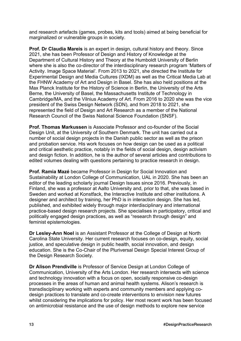and research artefacts (games, probes, kits and tools) aimed at being beneficial for marginalized or vulnerable groups in society.

**Prof. Dr Claudia Mareis** is an expert in design, cultural history and theory. Since 2021, she has been Professor of Design and History of Knowledge at the Department of Cultural History and Theory at the Humboldt University of Berlin where she is also the co-director of the interdisciplinary research program 'Matters of Activity. Image Space Material'*.* From 2013 to 2021, she directed the Institute for Experimental Design and Media Cultures (IXDM) as well as the Critical Media Lab at the FHNW Academy of Art and Design in Basel. She has also held positions at the Max Planck Institute for the History of Science in Berlin, the University of the Arts Berne, the University of Basel, the Massachusetts Institute of Technology in Cambridge/MA, and the Vilnius Academy of Art. From 2016 to 2020 she was the vice president of the Swiss Design Network (SDN), and from 2018 to 2021, she represented the field of Design and Art Research as a member of the National Research Council of the Swiss National Science Foundation (SNSF).

**Prof. Thomas Markussen** is Associate Professor and co-founder of the Social Design Unit, at the University of Southern Denmark. The unit has carried out a number of social design projects in the Danish public sector as well as the prison and probation service. His work focuses on how design can be used as a political and critical aesthetic practice, notably in the fields of social design, design activism and design fiction. In addition, he is the author of several articles and contributions to edited volumes dealing with questions pertaining to practice research in design.

**Prof. Ramia Mazé** became Professor in Design for Social Innovation and Sustainability at London College of Communication, UAL in 2020. She has been an editor of the leading scholarly journal Design Issues since 2016. Previously, in Finland, she was a professor at Aalto University and, prior to that, she was based in Sweden and worked at Konstfack, the Interactive Institute and other institutions. A designer and architect by training, her PhD is in interaction design. She has led, published, and exhibited widely through major interdisciplinary and international practice-based design research projects. She specialises in participatory, critical and politically engaged design practices, as well as "research through design" and feminist epistemologies.

**Dr Lesley-Ann Noel** is an Assistant Professor at the College of Design at North Carolina State University. Her current research focuses on co-design, equity, social justice, and speculative design in public health, social innovation, and design education. She is the Co-Chair of the Pluriversal Design Special Interest Group of the Design Research Society.

**Dr Alison Prendiville** is Professor of Service Design at London College of Communication, University of the Arts London. Her research intersects with science and technology innovation with a focus on open, socially responsive co-design processes in the areas of human and animal health systems. Alison's research is transdisciplinary working with experts and community members and applying codesign practices to translate and co-create interventions to envision new futures whilst considering the implications for policy. Her most recent work has been focused on antimicrobial resistance and the use of design methods to explore new service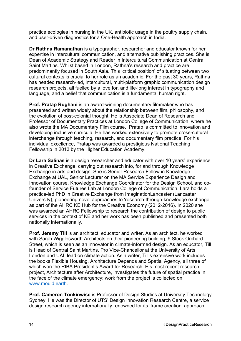practice ecologies in nursing in the UK, antibiotic usage in the poultry supply chain, and user-driven diagnostics for a One-Health approach in India.

**Dr Rathna Ramanathan** is a typographer, researcher and educator known for her expertise in intercultural communication, and alternative publishing practices. She is Dean of Academic Strategy and Reader in Intercultural Communication at Central Saint Martins. Whilst based in London, Rathna's research and practice are predominantly focused in South Asia. This 'critical position' of situating between two cultural contexts is crucial to her role as an academic. For the past 30 years, Rathna has headed research-led, intercultural, multi-platform graphic communication design research projects, all fuelled by a love for, and life-long interest in typography and language, and a belief that communication is a fundamental human right.

**Prof. Pratap Rughani** is an award-winning documentary filmmaker who has presented and written widely about the relationship between film, philosophy, and the evolution of post-colonial thought. He is Associate Dean of Research and Professor of Documentary Practices at London College of Communication, where he also wrote the MA Documentary Film course. Pratap is committed to innovation and developing inclusive curricula. He has worked extensively to promote cross-cultural interchange through teaching, research, and documentary film practice. For his individual excellence, Pratap was awarded a prestigious National Teaching Fellowship in 2013 by the Higher Education Academy.

**Dr Lara Salinas** is a design researcher and educator with over 10 years' experience in Creative Exchange, carrying out research into, for and through Knowledge Exchange in arts and design. She is Senior Research Fellow in Knowledge Exchange at UAL, Senior Lecturer on the MA Service Experience Design and Innovation course, Knowledge Exchange Coordinator for the Design School, and cofounder of Service Futures Lab at London College of Communication. Lara holds a practice-led PhD in Creative Exchange from ImaginationLancaster (Lancaster University), pioneering novel approaches to 'research-through-knowledge exchange' as part of the AHRC KE Hub for the Creative Economy (2012-2016). In 2020 she was awarded an AHRC Fellowship to research the contribution of design to public services in the context of KE and her work has been published and presented both nationally internationally.

**Prof. Jeremy Till** is an architect, educator and writer. As an architect, he worked with Sarah Wigglesworth Architects on their pioneering building, 9 Stock Orchard Street, which is seen as an innovator in climate-informed design. As an educator, Till is Head of Central Saint Martins, Pro Vice-Chancellor at the University of Arts London and UAL lead on climate action. As a writer, Till's extensive work includes the books Flexible Housing, Architecture Depends and Spatial Agency, all three of which won the RIBA President's Award for Research. His most recent research project, Architecture after Architecture, investigates the future of spatial practice in the face of the climate emergency; work from the project is collected on [www.mould.earth.](http://www.mould.earth/)

**Prof. Cameron Tonkinwise** is Professor of Design Studies at University Technology Sydney. He was the Director of UTS' Design Innovation Research Centre, a service design research agency internationally renowned for its 'frame creation' approach.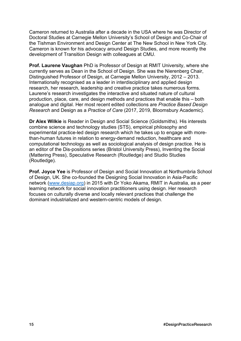Cameron returned to Australia after a decade in the USA where he was Director of Doctoral Studies at Carnegie Mellon University's School of Design and Co-Chair of the Tishman Environment and Design Center at The New School in New York City. Cameron is known for his advocacy around Design Studies, and more recently the development of Transition Design with colleagues at CMU.

**Prof. Laurene Vaughan** PhD is Professor of Design at RMIT University, where she currently serves as Dean in the School of Design. She was the Nierenberg Chair, Distinguished Professor of Design, at Carnegie Mellon University, 2012 – 2013. Internationally recognised as a leader in interdisciplinary and applied design research, her research, leadership and creative practice takes numerous forms. Laurene's research investigates the interactive and situated nature of cultural production, place, care, and design methods and practices that enable this – both analogue and digital. Her most recent edited collections are *Practice Based Design Research* and Design as a *Practice of Care* (2017, 2019, Bloomsbury Academic).

**Dr Alex Wilkie** is Reader in Design and Social Science (Goldsmiths). His interests combine science and technology studies (STS), empirical philosophy and experimental practice-led design research which he takes up to engage with morethan-human futures in relation to energy-demand reduction, healthcare and computational technology as well as sociological analysis of design practice. He is an editor of the Dis-positions series (Bristol University Press), Inventing the Social (Mattering Press), Speculative Research (Routledge) and Studio Studies (Routledge).

**Prof. Joyce Yee** is Professor of Design and Social Innovation at Northumbria School of Design, UK. She co-founded the Designing Social Innovation in Asia-Pacific network [\(www.desiap.org\)](https://eur02.safelinks.protection.outlook.com/?url=http%3A%2F%2Fwww.desiap.org%2F&data=05%7C01%7Cjoyce.yee%40northumbria.ac.uk%7C712efc92dd3a49f0e53b08da29e3fdc5%7Ce757cfdd1f354457af8f7c9c6b1437e3%7C0%7C0%7C637868356448234505%7CUnknown%7CTWFpbGZsb3d8eyJWIjoiMC4wLjAwMDAiLCJQIjoiV2luMzIiLCJBTiI6Ik1haWwiLCJXVCI6Mn0%3D%7C3000%7C%7C%7C&sdata=AXkCYTMDTEU7bKmE42Aqq9AAlL7tlpAUYiuiyY2xnEE%3D&reserved=0) in 2015 with Dr Yoko Akama, RMIT in Australia, as a peer learning network for social innovation practitioners using design. Her research focuses on culturally diverse and locally relevant practices that challenge the dominant industrialized and western-centric models of design.